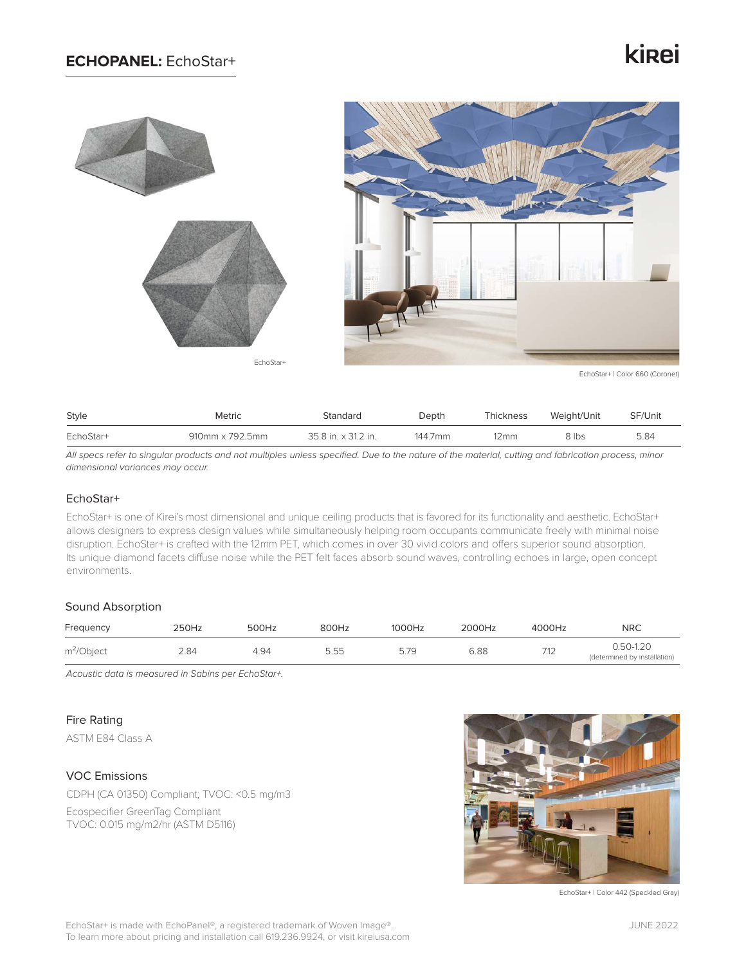## **ECHOPANEL:** EchoStar+

## kinei



EchoStar+ | Color 660 (Coronet)

| Style     | Metric          | Standard            | Depth   | Thickness | Weight/Unit | SF/Unit |
|-----------|-----------------|---------------------|---------|-----------|-------------|---------|
| EchoStar+ | 910mm x 792.5mm | 35.8 in. x 31.2 in. | 144.7mm | 12mm      | 8 lbs       | 5.84    |

*All specs refer to singular products and not multiples unless specified. Due to the nature of the material, cutting and fabrication process, minor dimensional variances may occur.*

### EchoStar+

EchoStar+ is one of Kirei's most dimensional and unique ceiling products that is favored for its functionality and aesthetic. EchoStar+ allows designers to express design values while simultaneously helping room occupants communicate freely with minimal noise disruption. EchoStar+ is crafted with the 12mm PET, which comes in over 30 vivid colors and offers superior sound absorption. Its unique diamond facets diffuse noise while the PET felt faces absorb sound waves, controlling echoes in large, open concept environments.

#### Sound Absorption

| Frequency     | 250Hz | 500Hz | 800Hz | 1000Hz | 2000Hz | 4000Hz         | <b>NRC</b>                                |
|---------------|-------|-------|-------|--------|--------|----------------|-------------------------------------------|
| $m^2$ /Object | 2.84  | 4.94  | 5.55  | 5.79   | 6.88   | 712<br>ے ا ، ا | 0.50-1.20<br>(determined by installation) |

*Acoustic data is measured in Sabins per EchoStar+.*

### Fire Rating

ASTM E84 Class A

### VOC Emissions

CDPH (CA 01350) Compliant; TVOC: <0.5 mg/m3 Ecospecifier GreenTag Compliant TVOC: 0.015 mg/m2/hr (ASTM D5116)



EchoStar+ | Color 442 (Speckled Gray)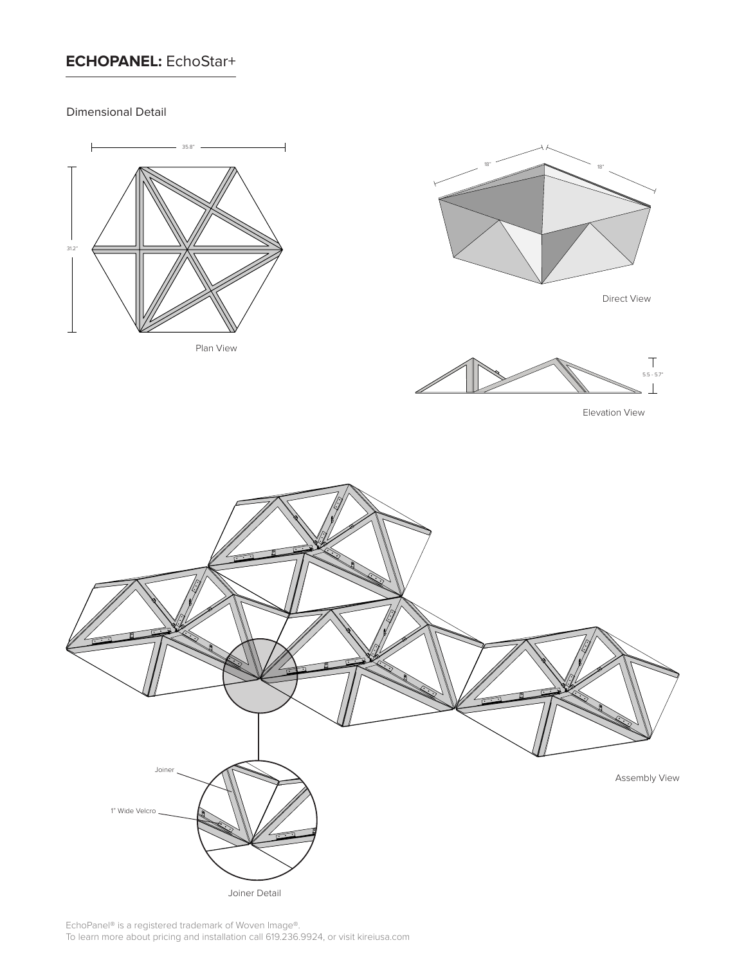## **ECHOPANEL:** EchoStar+

Dimensional Detail



Plan View



Direct View



Elevation View



Joiner Detail

EchoPanel® is a registered trademark of Woven Image®. To learn more about pricing and installation call 619.236.9924, or visit kireiusa.com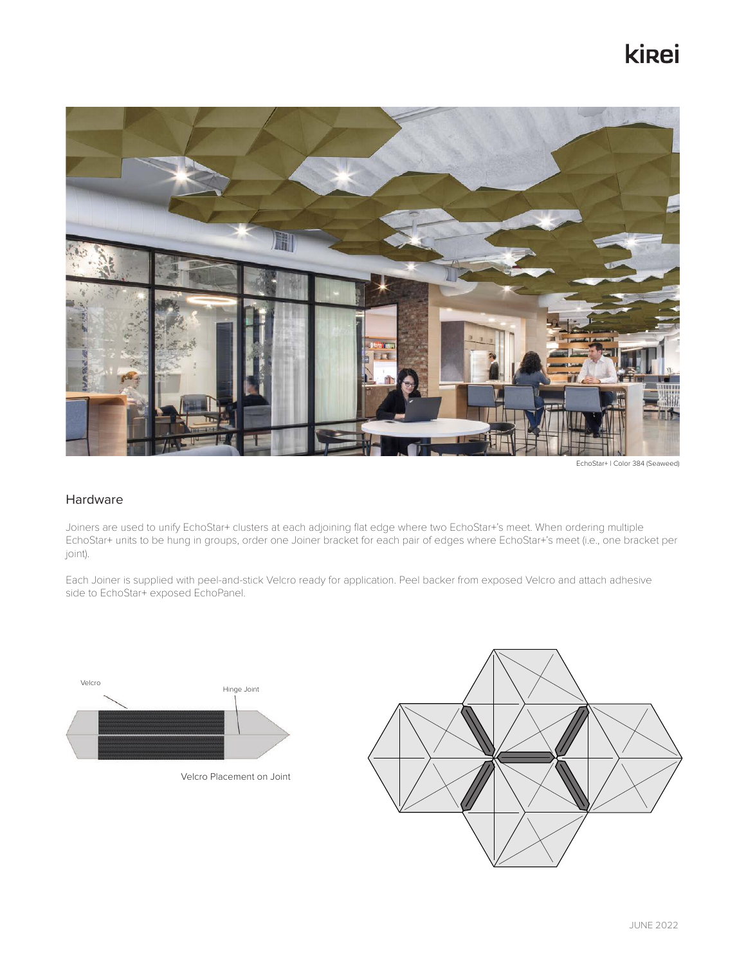# **ki**<sub>ei</sub>



EchoStar+ | Color 384 (Seaweed)

### Hardware

Joiners are used to unify EchoStar+ clusters at each adjoining flat edge where two EchoStar+'s meet. When ordering multiple EchoStar+ units to be hung in groups, order one Joiner bracket for each pair of edges where EchoStar+'s meet (i.e., one bracket per joint).

Each Joiner is supplied with peel-and-stick Velcro ready for application. Peel backer from exposed Velcro and attach adhesive side to EchoStar+ exposed EchoPanel.



Velcro Placement on Joint